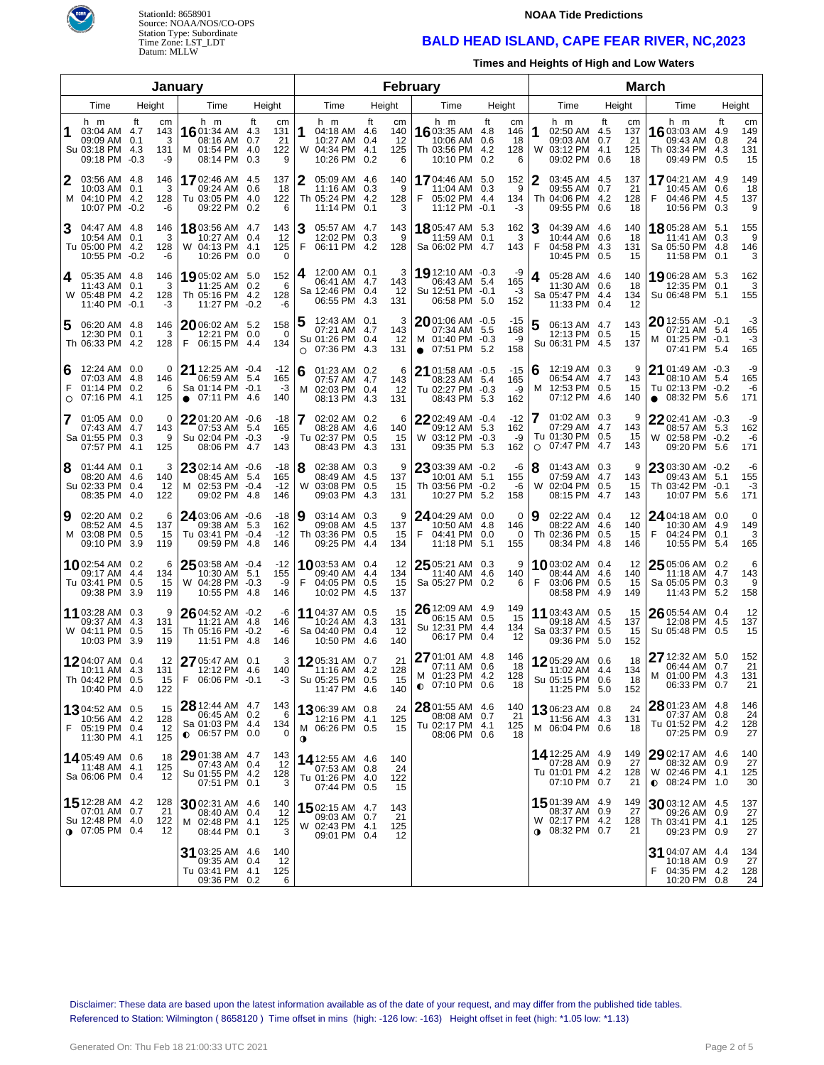

StationId: 8658901 Source: NOAA/NOS/CO-OPS Station Type: Subordinate Time Zone: LST\_LDT Datum: MLLW

#### **NOAA Tide Predictions**

## **BALD HEAD ISLAND, CAPE FEAR RIVER, NC,2023**

**Times and Heights of High and Low Waters**

|                                  |                                                                        |             |                             | January                                                                            |                                                   |          |                                                                                 |      |                             | February                                                                           |                                                        |         |                                                                               |                                    | <b>March</b>                                                                  |        |                                                  |  |
|----------------------------------|------------------------------------------------------------------------|-------------|-----------------------------|------------------------------------------------------------------------------------|---------------------------------------------------|----------|---------------------------------------------------------------------------------|------|-----------------------------|------------------------------------------------------------------------------------|--------------------------------------------------------|---------|-------------------------------------------------------------------------------|------------------------------------|-------------------------------------------------------------------------------|--------|--------------------------------------------------|--|
| Time<br>Height<br>Height<br>Time |                                                                        |             |                             |                                                                                    |                                                   | Time     | Height                                                                          |      | Time                        | Height                                                                             |                                                        | Time    | Height                                                                        | Time                               |                                                                               | Height |                                                  |  |
| 1                                | h m<br>03:04 AM 4.7<br>09:09 AM<br>Su 03:18 PM 4.3<br>09:18 PM -0.3    | ft<br>0.1   | cm<br>143<br>3<br>131<br>-9 | h m<br>1601:34 AM 4.3<br>08:16 AM<br>M 01:54 PM<br>08:14 PM                        | ft<br>cm<br>131<br>21<br>0.7<br>122<br>4.0<br>0.3 | 9        | h m<br>1<br>04:18 AM 4.6<br>10:27 AM 0.4<br>W 04:34 PM 4.1<br>10:26 PM 0.2      | ft   | cm<br>140<br>12<br>125<br>6 | h m<br><b>16</b> 03:35 AM 4.8<br>10:06 AM<br>Th 03:56 PM<br>10:10 PM               | ft<br>cm<br>146<br>18<br>0.6<br>4.2<br>128<br>0.2<br>6 | 1       | h m<br>02:50 AM 4.5<br>09:03 AM 0.7<br>W 03:12 PM 4.1<br>09:02 PM 0.6         | ft<br>cm<br>137<br>21<br>125<br>18 | h m<br>16 03:03 AM<br>09:43 AM<br>Th 03:34 PM 4.3<br>09:49 PM 0.5             |        | ft<br>cm<br>4.9<br>149<br>24<br>0.8<br>131<br>15 |  |
| 2                                | 03:56 AM 4.8<br>10:03 AM 0.1<br>M 04:10 PM 4.2<br>10:07 PM -0.2        |             | 146<br>3<br>128<br>-6       | 17 02:46 AM 4.5<br>09:24 AM<br>Tu 03:05 PM 4.0<br>09:22 PM 0.2                     | 137<br>18<br>0.6<br>122                           | 6        | 2<br>05:09 AM 4.6<br>11:16 AM 0.3<br>Th 05:24 PM 4.2<br>11:14 PM 0.1            |      | 140<br>9<br>128<br>3        | 1704:46 AM 5.0<br>11:04 AM<br>05:02 PM 4.4<br>F<br>11:12 PM -0.1                   | 152<br>0.3<br>9<br>134<br>-3                           | 2       | 03:45 AM 4.5<br>09:55 AM 0.7<br>Th 04:06 PM 4.2<br>09:55 PM 0.6               | 137<br>21<br>128<br>18             | 1704:21 AM 4.9<br>10:45 AM<br>F<br>04:46 PM 4.5<br>10:56 PM                   | 0.3    | 149<br>0.6<br>18<br>137<br>9                     |  |
| 3                                | 04:47 AM 4.8<br>10:54 AM<br>Tu 05:00 PM 4.2<br>10:55 PM -0.2           | 0.1         | 146<br>3<br>128<br>-6       | <b>18</b> 03:56 AM 4.7<br>10:27 AM<br>W 04:13 PM 4.1<br>10:26 PM 0.0               | 143<br>12<br>0.4<br>125                           | $\Omega$ | 3<br>05:57 AM 4.7<br>12:02 PM 0.3<br>F<br>06:11 PM 4.2                          |      | 143<br>9<br>128             | <b>18</b> 05:47 AM 5.3<br>11:59 AM<br>Sa 06:02 PM 4.7                              | 162<br>0.1<br>3<br>143                                 | З<br>F  | 04:39 AM 4.6<br>10:44 AM 0.6<br>04:58 PM 4.3<br>10:45 PM 0.5                  | 140<br>18<br>131<br>15             | 18 05:28 AM 5.1<br>11:41 AM 0.3<br>Sa 05:50 PM 4.8<br>11:58 PM 0.1            |        | 155<br>9<br>146<br>3                             |  |
| 4                                | 05:35 AM 4.8<br>11:43 AM<br>W 05:48 PM 4.2<br>11:40 PM -0.1            | 0.1         | 146<br>3<br>128<br>-3       | 1905:02 AM 5.0<br>11:25 AM 0.2<br>Th 05:16 PM 4.2<br>11:27 PM -0.2                 | 152<br>- 6<br>128<br>-6                           |          | 12:00 AM 0.1<br>4<br>06:41 AM 4.7<br>Sa 12:46 PM 0.4<br>06:55 PM 4.3            |      | 3<br>143<br>12<br>131       | 19 12:10 AM -0.3<br>06:43 AM 5.4<br>Su 12:51 PM -0.1<br>06:58 PM                   | -9<br>165<br>-3<br>5.0<br>152                          | 4       | 05:28 AM 4.6<br>11:30 AM 0.6<br>Sa 05:47 PM 4.4<br>11:33 PM 0.4               | 140<br>18<br>134<br>12             | 19 06:28 AM 5.3<br>12:35 PM<br>Su 06:48 PM 5.1                                | 0.1    | 162<br>3<br>155                                  |  |
| 5                                | 06:20 AM 4.8<br>12:30 PM<br>Th 06:33 PM 4.2                            | 0.1         | 146<br>3<br>128             | 20 06:02 AM 5.2<br>12:21 PM 0.0<br>06:15 PM 4.4<br>F                               | 158<br>134                                        | 0        | 12:43 AM 0.1<br>5<br>07:21 AM 4.7<br>Su 01:26 PM 0.4<br>07:36 PM 4.3<br>$\circ$ |      | 3<br>143<br>12<br>131       | $2001:06$ AM $-0.5$<br>07:34 AM 5.5<br>M 01:40 PM -0.3<br>$\bullet$ 07:51 PM       | -15<br>168<br>-9<br>5.2<br>158                         | 5       | 06:13 AM 4.7<br>12:13 PM 0.5<br>Su 06:31 PM 4.5                               | 143<br>15<br>137                   | $20$ 12:55 AM $-0.1$<br>07:21 AM 5.4<br>M 01:25 PM -0.1<br>07:41 PM 5.4       |        | -3<br>165<br>-3<br>165                           |  |
| 6<br>F<br>$\circ$                | 12:24 AM 0.0<br>07:03 AM 4.8<br>01:14 PM 0.2<br>07:16 PM               | 4.1         | $\Omega$<br>146<br>6<br>125 | <b>21</b> 12:25 AM $-0.4$<br>06:59 AM<br>Sa 01:14 PM -0.1<br>07:11 PM<br>$\bullet$ | $-12$<br>165<br>-5.4<br>-3<br>4.6<br>140          |          | 6<br>01:23 AM 0.2<br>07:57 AM 4.7<br>02:03 PM 0.4<br>м<br>08:13 PM 4.3          |      | 6<br>143<br>-12<br>131      | 21 01:58 AM -0.5<br>08:23 AM 5.4<br>Tu 02:27 PM -0.3<br>08:43 PM                   | $-15$<br>165<br>-9<br>5.3<br>162                       | 16<br>м | 12:19 AM 0.3<br>06:54 AM 4.7<br>12:53 PM 0.5<br>07:12 PM                      | 9<br>143<br>15<br>-4.6<br>140      | 21 01:49 AM -0.3<br>08:10 AM 5.4<br>Tu 02:13 PM -0.2<br>08:32 PM<br>$\bullet$ |        | -9<br>165<br>-6<br>5.6<br>171                    |  |
| 7                                | 01:05 AM 0.0<br>07:43 AM 4.7<br>Sa 01:55 PM 0.3<br>07:57 PM            | 4.1         | 0<br>143<br>9<br>125        | 2201:20 AM -0.6<br>07:53 AM 5.4<br>Su 02:04 PM<br>08:06 PM                         | -18<br>165<br>$-0.3$<br>-9<br>4.7<br>143          |          | 17<br>02:02 AM 0.2<br>08:28 AM 4.6<br>Tu 02:37 PM 0.5<br>08:43 PM               | -4.3 | 6<br>140<br>15<br>131       | 2202:49 AM -0.4<br>09:12 AM 5.3<br>W 03:12 PM -0.3<br>09:35 PM                     | $-12$<br>162<br>-9<br>5.3<br>162                       | $\circ$ | 01:02 AM 0.3<br>07:29 AM 4.7<br>Tu 01:30 PM 0.5<br>07:47 PM                   | 9<br>143<br>15<br>-4.7<br>143      | 2202:41 AM -0.3<br>08:57 AM 5.3<br>W 02:58 PM -0.2<br>09:20 PM                |        | -9<br>162<br>-6<br>171<br>5.6                    |  |
| 8                                | $01:44$ AM $0.1$<br>08:20 AM 4.6<br>Su 02:33 PM<br>08:35 PM            | 0.4<br>-4.0 | 3<br>140<br>12<br>122       | 23 02:14 AM -0.6<br>08:45 AM 5.4<br>M 02:53 PM -0.4<br>09:02 PM                    | -18<br>165<br>$-12$<br>-4.8<br>146                |          | 18<br>02:38 AM 0.3<br>08:49 AM 4.5<br>W 03:08 PM 0.5<br>09:03 PM 4.3            |      | 9<br>137<br>15<br>131       | 23 03:39 AM -0.2<br>10:01 AM 5.1<br>Th 03:56 PM -0.2<br>10:27 PM                   | -6<br>155<br>-6<br>5.2<br>158                          | 8<br>W  | 01:43 AM 0.3<br>07:59 AM 4.7<br>02:04 PM 0.5<br>08:15 PM                      | 9<br>143<br>15<br>-4.7<br>143      | 23 03:30 AM -0.2<br>09:43 AM 5.1<br>Th 03:42 PM -0.1<br>10:07 PM              | 5.6    | -6<br>155<br>-3<br>171                           |  |
| 9                                | 02:20 AM 0.2<br>08:52 AM 4.5<br>M 03:08 PM<br>09:10 PM                 | 0.5<br>-3.9 | 6<br>137<br>15<br>119       | 24 03:06 AM -0.6<br>09:38 AM 5.3<br>Tu 03:41 PM<br>09:59 PM                        | -18<br>162<br>$-0.4$<br>$-12$<br>4.8<br>146       |          | Ι9<br>03:14 AM 0.3<br>09:08 AM 4.5<br>Th 03:36 PM 0.5<br>09:25 PM 4.4           |      | 9<br>137<br>15<br>134       | 24 04:29 AM 0.0<br>10:50 AM 4.8<br>F<br>04:41 PM<br>11:18 PM                       | 0<br>146<br>0.0<br>$\Omega$<br>5.1<br>155              | Ι9      | 02:22 AM 0.4<br>08:22 AM 4.6<br>Th 02:36 PM 0.5<br>08:34 PM                   | 12<br>140<br>15<br>-4.8<br>146     | $24$ 04:18 AM 0.0<br>10:30 AM 4.9<br>04:24 PM<br>F<br>10:55 PM                |        | 0<br>149<br>0.1<br>3<br>165<br>5.4               |  |
|                                  | 1002:54 AM 0.2<br>09:17 AM 4.4<br>Tu 03:41 PM<br>09:38 PM              | 0.5<br>3.9  | 6<br>134<br>15<br>119       | 25 03:58 AM -0.4<br>10:30 AM 5.1<br>W 04:28 PM<br>10:55 PM                         | $-12$<br>155<br>$-0.3$<br>-9<br>4.8<br>146        |          | <b>10</b> 03:53 AM 0.4<br>09:40 AM 4.4<br>F<br>04:05 PM 0.5<br>10:02 PM 4.5     |      | 12<br>134<br>15<br>137      | 25 05:21 AM 0.3<br>11:40 AM 4.6<br>Sa 05:27 PM 0.2                                 | 9<br>140<br>6                                          | F       | <b>10</b> 03:02 AM 0.4<br>08:44 AM 4.6<br>03:06 PM 0.5<br>08:58 PM 4.9        | 12<br>140<br>15<br>149             | $25$ 05:06 AM 0.2<br>11:18 AM 4.7<br>Sa 05:05 PM<br>11:43 PM                  |        | 6<br>143<br>0.3<br>9<br>158<br>5.2               |  |
|                                  | 11 03:28 AM 0.3<br>09:37 AM 4.3<br>W 04:11 PM<br>10:03 PM              | 0.5<br>-3.9 | 9<br>131<br>15<br>119       | $26$ 04:52 AM $-0.2$<br>11:21 AM 4.8<br>Th 05:16 PM<br>11:51 PM                    | -6<br>146<br>$-0.2$<br>-6<br>4.8<br>146           |          | 11 04:37 AM 0.5<br>10:24 AM 4.3<br>Sa 04:40 PM 0.4<br>10:50 PM 4.6              |      | 15<br>131<br>-12<br>140     | 26 12:09 AM 4.9<br>06:15 AM   0.5<br>Su 12:31 PM 4.4<br>06:17 PM                   | 149<br>15<br>134<br>0.4<br>12                          |         | 11 03:43 AM 0.5<br>09:18 AM 4.5<br>Sa 03:37 PM 0.5<br>09:36 PM 5.0            | 15<br>137<br>15<br>152             | $26$ 05:54 AM 0.4<br>12:08 PM 4.5<br>Su 05:48 PM                              |        | 12<br>137<br>0.5<br>15                           |  |
|                                  | 1204:07 AM 0.4<br>10:11 AM<br>Th 04:42 PM 0.5<br>10:40 PM 4.0          | -4.3        | 12<br>131<br>15<br>122      | 27 05:47 AM 0.1<br>12:12 PM 4.6<br>06:06 PM -0.1                                   | 140<br>-3                                         | 3        | 1205:31 AM 0.7<br>11:16 AM 4.2<br>Su 05:25 PM 0.5<br>11:47 PM 4.6               |      | 21<br>128<br>15<br>140      | 27 01:01 AM 4.8<br>07:11 AM 0.6<br>M 01:23 PM 4.2<br>$Q$ 07:10 PM $0.\overline{6}$ | 146<br>18<br>128<br>18                                 |         | 1205:29 AM 0.6<br>11:02 AM 4.4<br>Su 05:15 PM 0.6<br>11:25 PM 5.0             | 18<br>134<br>18<br>152             | $2712:32$ AM $5.0$<br>06:44 AM 0.7<br>M 01:00 PM 4.3<br>06:33 PM 0.7          |        | 152<br>21<br>131<br>21                           |  |
|                                  | 1304:52 AM 0.5<br>10:56 AM 4.2<br>F 05:19 PM 0.4<br>11:30 PM 4.1       |             | 15<br>128<br>12<br>125      | 28 12:44 AM 4.7<br>06:45 AM 0.2<br>Sa 01:03 PM 4.4<br>$0.06:57$ PM 0.0             | 143<br>134                                        | 6<br>0   | 1306:39 AM 0.8<br>12:16 PM 4.1<br>M 06:26 PM 0.5<br>$\bullet$                   |      | 24<br>125<br>15             | 28 01:55 AM 4.6<br>08:08 AM 0.7<br>Tu 02:17 PM 4.1<br>08:06 PM 0.6                 | 140<br>21<br>125<br>18                                 |         | <b>13</b> 06:23 AM 0.8<br>11:56 AM 4.3<br>M 06:04 PM 0.6                      | 24<br>131<br>18                    | 28 01:23 AM 4.8<br>07:37 AM 0.8<br>Tu 01:52 PM 4.2<br>07:25 PM 0.9            |        | 146<br>24<br>128<br>27                           |  |
|                                  | 14 05:49 AM 0.6<br>11:48 AM 4.1<br>Sa 06:06 PM 0.4                     |             | 18<br>125<br>12             | $2901:38$ AM 4.7<br>07:43 AM 0.4<br>Su 01:55 PM 4.2<br>07:51 PM 0.1                | 143<br>-12<br>128                                 | 3        | 14 12:55 AM 4.6<br>07:53 AM 0.8<br>Tu 01:26 PM 4.0<br>07:44 PM 0.5              |      | 140<br>24<br>122<br>15      |                                                                                    |                                                        |         | 14 12:25 AM 4.9<br>07:28 AM 0.9<br>Tu 01:01 PM 4.2<br>07:10 PM 0.7            | 149<br>27<br>128<br>21             | $2902:17$ AM 4.6<br>08:32 AM 0.9<br>W 02:46 PM 4.1<br>$\bullet$ 08:24 PM 1.0  |        | 140<br>27<br>125<br>30                           |  |
|                                  | 15 12:28 AM 4.2<br>07:01 AM 0.7<br>Su 12:48 PM 4.0<br>$0$ 07:05 PM 0.4 |             | 128<br>21<br>122<br>12      | 30 02:31 AM 4.6<br>08:40 AM 0.4<br>M 02:48 PM 4.1<br>08:44 PM 0.1                  | 140<br>-12<br>125                                 | 3        | 15 02:15 AM 4.7<br>09:03 AM 0.7<br>W 02:43 PM 4.1<br>09:01 PM 0.4               |      | 143<br>21<br>125<br>12      |                                                                                    |                                                        |         | 15 01:39 AM 4.9<br>08:37 AM 0.9<br>W 02:17 PM 4.2<br>$0.08:32 \text{ PM}$ 0.7 | 149<br>27<br>128<br>21             | $3003:12$ AM 4.5<br>09:26 AM<br>Th 03:41 PM 4.1<br>09:23 PM 0.9               | 0.9    | 137<br>27<br>125<br>27                           |  |
|                                  |                                                                        |             |                             | 31 03:25 AM 4.6<br>09:35 AM 0.4<br>Tu 03:41 PM<br>09:36 PM 0.2                     | 140<br>12<br>-4.1<br>125                          | 6        |                                                                                 |      |                             |                                                                                    |                                                        |         |                                                                               |                                    | 31 04:07 AM 4.4<br>10:18 AM<br>04:35 PM 4.2<br>10:20 PM                       |        | 134<br>0.9<br>27<br>128<br>24<br>0.8             |  |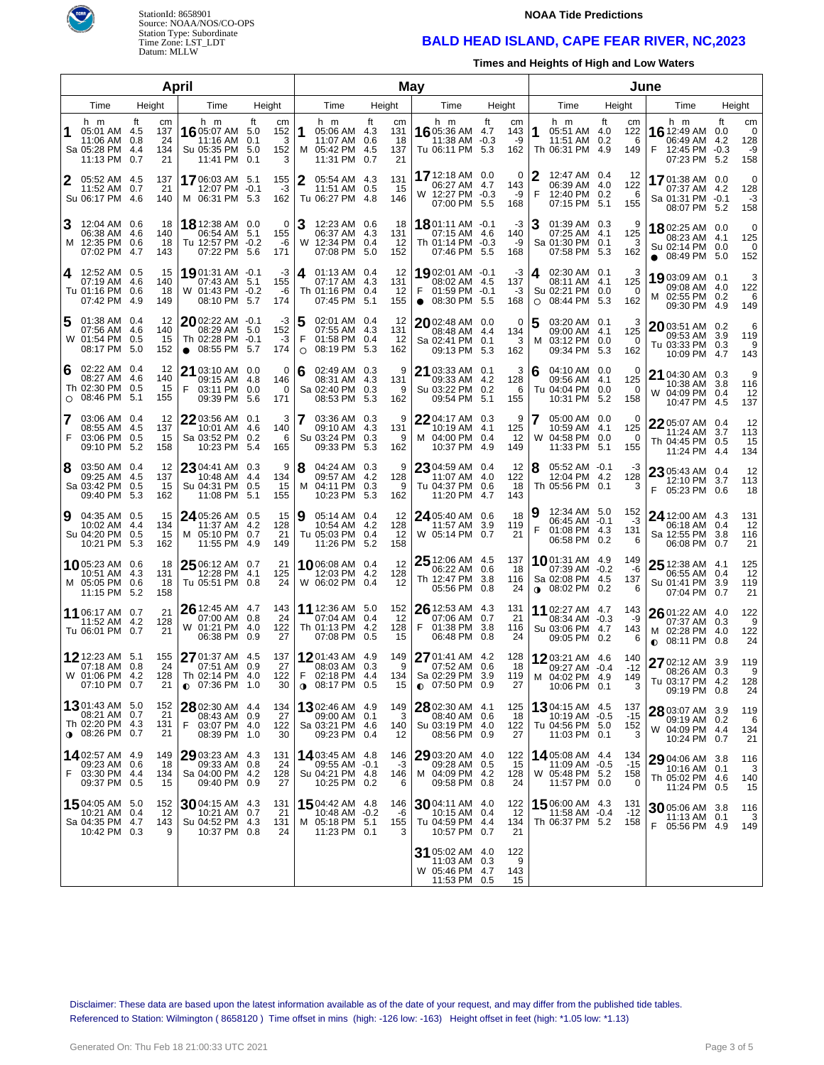

# StationId: 8658901 Source: NOAA/NOS/CO-OPS Station Type: Subordinate Time Zone: LST\_LDT Datum: MLLW

#### **NOAA Tide Predictions**

# **BALD HEAD ISLAND, CAPE FEAR RIVER, NC,2023**

**Times and Heights of High and Low Waters**

|                        |                                                                       |                                           | April                                                                             |                                               |             |                                                                           |      | May                          |                                                                                 |            |                              |                                                                            | June                               |                                                                                    |    |                                   |
|------------------------|-----------------------------------------------------------------------|-------------------------------------------|-----------------------------------------------------------------------------------|-----------------------------------------------|-------------|---------------------------------------------------------------------------|------|------------------------------|---------------------------------------------------------------------------------|------------|------------------------------|----------------------------------------------------------------------------|------------------------------------|------------------------------------------------------------------------------------|----|-----------------------------------|
| Time<br>Height<br>Time |                                                                       |                                           | Height                                                                            |                                               | Time        | Height                                                                    |      | Time                         | Height                                                                          |            | Time                         | Height                                                                     | Time                               | Height                                                                             |    |                                   |
|                        | h m<br>05:01 AM 4.5<br>11:06 AM<br>Sa 05:28 PM 4.4<br>11:13 PM 0.7    | ft<br>cm<br>137<br>0.8<br>24<br>134<br>21 | h m<br>16 05:07 AM 5.0<br>11:16 AM<br>Su 05:35 PM 5.0<br>11:41 PM 0.1             | ft<br>cm<br>152<br>0.1<br>3<br>152<br>3       | 11          | h m<br>05:06 AM 4.3<br>11:07 AM 0.6<br>M 05:42 PM 4.5<br>11:31 PM 0.7     | ft   | cm<br>131<br>18<br>137<br>21 | h m<br>16 05:36 AM 4.7<br>11:38 AM -0.3<br>Tu 06:11 PM 5.3                      | ft         | cm<br>143<br>-9<br>162       | h m<br>1<br>05:51 AM 4.0<br>11:51 AM<br>Th 06:31 PM 4.9                    | ft<br>cm<br>122<br>0.2<br>6<br>149 | h m<br>16 12:49 AM 0.0<br>06:49 AM 4.2<br>F<br>12:45 PM -0.3<br>07:23 PM 5.2       | ft | cm<br>0<br>128<br>-9<br>158       |
| 2                      | 05:52 AM 4.5<br>11:52 AM<br>Su 06:17 PM 4.6                           | 137<br>0.7<br>21<br>140                   | 1706:03 AM 5.1<br>12:07 PM -0.1<br>M 06:31 PM 5.3                                 | 155<br>-3<br>162                              | 2           | 05:54 AM 4.3<br>11:51 AM 0.5<br>Tu 06:27 PM 4.8                           |      | 131<br>-15<br>146            | 17 12:18 AM 0.0<br>06:27 AM 4.7<br>W 12:27 PM -0.3<br>07:00 PM 5.5              |            | $\Omega$<br>143<br>-9<br>168 | 12:47 AM 0.4<br>06:39 AM 4.0<br>F<br>12:40 PM 0.2<br>07:15 PM              | 12<br>122<br>6<br>5.1<br>155       | 17 01:38 AM 0.0<br>07:37 AM 4.2<br>Sa 01:31 PM -0.1<br>08:07 PM 5.2                |    | $\mathbf 0$<br>128<br>$-3$<br>158 |
|                        | 12:04 AM 0.6<br>06:38 AM 4.6<br>M 12:35 PM 0.6<br>07:02 PM            | 18<br>140<br>18<br>-4.7<br>143            | 18 12:38 AM 0.0<br>06:54 AM 5.1<br>Tu 12:57 PM -0.2<br>07:22 PM                   | 0<br>155<br>-6<br>5.6<br>171                  |             | 12:23 AM 0.6<br>06:37 AM 4.3<br>W 12:34 PM 0.4<br>07:08 PM                | 5.0  | 18<br>131<br>12<br>152       | 1801:11 AM -0.1<br>07:15 AM 4.6<br>Th 01:14 PM -0.3<br>07:46 PM 5.5             |            | -3<br>140<br>-9<br>168       | 01:39 AM 0.3<br>07:25 AM 4.1<br>Sa 01:30 PM 0.1<br>07:58 PM 5.3            | 9<br>125<br>3<br>162               | 1802:25 AM 0.0<br>08:23 AM 4.1<br>Su 02:14 PM 0.0<br>$\bullet$ 08:49 PM 5.0        |    | $\mathbf 0$<br>125<br>0<br>152    |
| 4                      | 12:52 AM 0.5<br>07:19 AM 4.6<br>Tu 01:16 PM 0.6<br>07:42 PM           | 15<br>140<br>18<br>-4.9<br>149            | 1901:31 AM -0.1<br>07:43 AM 5.1<br>W 01:43 PM -0.2<br>08:10 PM                    | -3<br>155<br>-6<br>5.7<br>174                 | 4           | 01:13 AM 0.4<br>07:17 AM 4.3<br>Th 01:16 PM 0.4<br>07:45 PM               | 5.1  | 12<br>131<br>12<br>155       | 1902:01 AM -0.1<br>08:02 AM 4.5<br>F<br>01:59 PM -0.1<br>$\bullet$ 08:30 PM 5.5 |            | -3<br>137<br>-3<br>168       | 02:30 AM 0.1<br>08:11 AM 4.1<br>Su 02:21 PM 0.0<br>08:44 PM<br>$\circ$     | 3<br>125<br>$\Omega$<br>5.3<br>162 | 1903:09 AM 0.1<br>09:08 AM 4.0<br>02:55 PM 0.2<br>M<br>09:30 PM 4.9                |    | 3<br>122<br>6<br>149              |
|                        | 01:38 AM 0.4<br>07:56 AM 4.6<br>W 01:54 PM 0.5<br>08:17 PM            | 12<br>140<br>15<br>5.0<br>152             | $20$ 02:22 AM $-0.1$<br>08:29 AM 5.0<br>Th 02:28 PM -0.1<br>08:55 PM<br>$\bullet$ | -3<br>152<br>$-3$<br>5.7<br>174               | 5<br>F<br>O | 02:01 AM 0.4<br>07:55 AM 4.3<br>01:58 PM 0.4<br>08:19 PM                  | 5.3  | 12<br>131<br>12<br>162       | 2002:48 AM 0.0<br>08:48 AM 4.4<br>Sa 02:41 PM 0.1<br>09:13 PM                   | 5.3        | 0<br>134<br>3<br>162         | 5<br>03:20 AM 0.1<br>09:00 AM 4.1<br>03:12 PM 0.0<br>м<br>09:34 PM         | 3<br>125<br>0<br>5.3<br>162        | 2003:51 AM 0.2<br>09:53 AM 3.9<br>Tu 03:33 PM 0.3<br>10:09 PM 4.7                  |    | 6<br>119<br>9<br>143              |
| 6<br>$\circ$           | 02:22 AM 0.4<br>08:27 AM<br>Th 02:30 PM 0.5<br>08:46 PM               | 12<br>-4.6<br>140<br>15<br>5.1<br>155     | 21 03:10 AM 0.0<br>09:15 AM 4.8<br>F<br>03:11 PM 0.0<br>09:39 PM                  | 0<br>146<br>0<br>5.6<br>171                   | 6           | 02:49 AM 0.3<br>08:31 AM 4.3<br>Sa 02:40 PM 0.3<br>08:53 PM               | 5.3  | 9<br>131<br>9<br>162         | 21 03:33 AM 0.1<br>09:33 AM 4.2<br>Su 03:22 PM 0.2<br>09:54 PM                  | 5.1        | 3<br>128<br>6<br>155         | 04:10 AM 0.0<br>6<br>09:56 AM 4.1<br>Tu 04:04 PM 0.0<br>10:31 PM           | 0<br>125<br>0<br>5.2<br>158        | 21 04:30 AM 0.3<br>10:38 AM 3.8<br>W 04:09 PM 0.4<br>10:47 PM 4.5                  |    | 9<br>116<br>12<br>137             |
| 7<br>F                 | 03:06 AM 0.4<br>08:55 AM 4.5<br>03:06 PM 0.5<br>09:10 PM              | 12<br>137<br>15<br>-5.2<br>158            | 22 03:56 AM 0.1<br>10:01 AM<br>Sa 03:52 PM<br>10:23 PM                            | 3<br>-4.6<br>140<br>0.2<br>6<br>-5.4<br>165   |             | 03:36 AM 0.3<br>09:10 AM 4.3<br>Su 03:24 PM 0.3<br>09:33 PM               | 5.3  | 9<br>131<br>9<br>162         | 22 04:17 AM 0.3<br>10:19 AM 4.1<br>M 04:00 PM 0.4<br>10:37 PM                   | 4.9        | 9<br>125<br>12<br>149        | 05:00 AM 0.0<br>10:59 AM 4.1<br>04:58 PM 0.0<br>W<br>11:33 PM              | 0<br>125<br>0<br>5.1<br>155        | 22 05:07 AM 0.4<br>11:24 AM 3.7<br>Th 04:45 PM 0.5<br>11:24 PM 4.4                 |    | 12<br>113<br>15<br>134            |
| 8                      | 03:50 AM 0.4<br>09:25 AM 4.5<br>Sa 03:42 PM<br>09:40 PM               | 12<br>137<br>0.5<br>15<br>5.3<br>162      | 23 04:41 AM 0.3<br>10:48 AM<br>Su 04:31 PM<br>11:08 PM                            | 9<br>-4.4<br>134<br>15<br>0.5<br>5.1<br>155   | 18          | 04:24 AM 0.3<br>09:57 AM 4.2<br>M 04:11 PM 0.3<br>10:23 PM                | 5.3  | 9<br>128<br>9<br>162         | 23 04:59 AM 0.4<br>11:07 AM 4.0<br>Tu 04:37 PM 0.6<br>11:20 PM                  | 4.7        | 12<br>122<br>18<br>143       | 8<br>05:52 AM -0.1<br>12:04 PM 4.2<br>Th 05:56 PM 0.1                      | -3<br>128<br>3                     | 23 05:43 AM 0.4<br>12:10 PM 3.7<br>F.<br>05:23 PM 0.6                              |    | 12<br>113<br>18                   |
| 9                      | 04:35 AM 0.5<br>10:02 AM 4.4<br>Su 04:20 PM<br>10:21 PM               | 15<br>134<br>0.5<br>15<br>5.3<br>162      | 24 05:26 AM 0.5<br>11:37 AM<br>M 05:10 PM<br>11:55 PM                             | 15<br>-4.2<br>128<br>21<br>0.7<br>-4.9<br>149 | 9           | 05:14 AM 0.4<br>10:54 AM 4.2<br>Tu 05:03 PM 0.4<br>11:26 PM               | -5.2 | 12<br>128<br>12<br>158       | 24 05:40 AM 0.6<br>11:57 AM 3.9<br>W 05:14 PM 0.7                               |            | 18<br>119<br>21              | 12:34 AM 5.0<br>06:45 AM -0.1<br>F<br>01:08 PM 4.3<br>06:58 PM 0.2         | 152<br>-3<br>131<br>6              | 24 12:00 AM 4.3<br>06:18 AM 0.4<br>Sa 12:55 PM 3.8<br>06:08 PM 0.7                 |    | 131<br>12<br>116<br>21            |
|                        | 1005:23 AM 0.6<br>10:51 AM 4.3<br>M 05:05 PM<br>11:15 PM              | 18<br>131<br>0.6<br>18<br>5.2<br>158      | 25 06:12 AM 0.7<br>12:28 PM<br>Tu 05:51 PM                                        | 21<br>4.1<br>125<br>24<br>0.8                 |             | 1006:08 AM 0.4<br>12:03 PM 4.2<br>W 06:02 PM 0.4                          |      | 12<br>128<br>12              | 25 12:06 AM 4.5<br>06:22 AM 0.6<br>Th 12:47 PM 3.8<br>05:56 PM 0.8              |            | 137<br>18<br>116<br>24       | 1001:31 AM 4.9<br>07:39 AM -0.2<br>Sa 02:08 PM 4.5<br>$0.08:02$ PM 0.2     | 149<br>-6<br>137<br>6              | 25 12:38 AM 4.1<br>06:55 AM 0.4<br>Su 01:41 PM 3.9<br>07:04 PM 0.7                 |    | 125<br>12<br>119<br>21            |
|                        | 11 06:17 AM 0.7<br>11:52 AM<br>Tu 06:01 PM                            | 21<br>-4.2<br>128<br>21<br>0.7            | 26 12:45 AM 4.7<br>07:00 AM 0.8<br>W 01:21 PM 4.0<br>06:38 PM                     | 143<br>24<br>122<br>0.9<br>27                 |             | 11 12:36 AM 5.0<br>07:04 AM 0.4<br>Th 01:13 PM 4.2<br>07:08 PM 0.5        |      | 152<br>12<br>128<br>15       | $2612:53$ AM $4.3$<br>07:06 AM<br>F<br>01:38 PM<br>06:48 PM 0.8                 | 0.7<br>3.8 | 131<br>21<br>116<br>24       | 11 02:27 AM 4.7<br>08:34 AM -0.3<br>Su 03:06 PM 4.7<br>09:05 PM 0.2        | 143<br>-9<br>143<br>6              | $2601:22$ AM 4.0<br>07:37 AM 0.3<br>02:28 PM 4.0<br>M<br>08:11 PM 0.8<br>$\bullet$ |    | 122<br>9<br>122<br>24             |
|                        | 1212:23 AM 5.1<br>07:18 AM 0.8<br>W 01:06 PM 4.2<br>07:10 PM 0.7      | 155<br>24<br>128<br>21                    | 27 01:37 AM 4.5<br>07:51 AM 0.9<br>Th 02:14 PM 4.0<br>$Q$ 07:36 PM 1.0            | 137<br>27<br>122<br>30                        | F           | 1201:43 AM 4.9<br>08:03 AM 0.3<br>02:18 PM 4.4<br>$0.08:17$ PM 0.5        |      | 149<br>9<br>134<br>15        | 27 01:41 AM 4.2<br>07:52 AM 0.6<br>Sa 02:29 PM 3.9<br>$O$ 07:50 PM 0.9          |            | 128<br>18<br>119<br>27       | 1203:21 AM 4.6<br>09:27 AM -0.4<br>M 04:02 PM 4.9<br>10:06 PM 0.1          | 140<br>$-12$<br>149<br>3           | 27 02:12 AM 3.9<br>08:26 AM 0.3<br>Tu 03:17 PM 4.2<br>09:19 PM 0.8                 |    | 119<br>9<br>128<br>24             |
|                        | 1301:43 AM 5.0<br>08:21 AM 0.7<br>Th 02:20 PM 4.3<br>$0.08:26$ PM 0.7 | 152<br>21<br>131<br>21                    | $2802:30$ AM 4.4<br>08:43 AM 0.9<br>F 03:07 PM 4.0<br>08:39 PM 1.0                | 134<br>27<br>122<br>30                        |             | <b>13</b> 02:46 AM 4.9<br>09:00 AM 0.1<br>Sa 03:21 PM 4.6<br>09:23 PM 0.4 |      | 149<br>3<br>140<br>12        | 28 02:30 AM 4.1<br>08:40 AM 0.6<br>Su 03:19 PM 4.0<br>08:56 PM 0.9              |            | 125<br>18<br>122<br>27       | <b>13</b> 04:15 AM 4.5<br>10:19 AM -0.5<br>Tu 04:56 PM 5.0<br>11:03 PM 0.1 | 137<br>-15<br>152<br>3             | 28 03:07 AM 3.9<br>09:19 AM 0.2<br>W 04:09 PM 4.4<br>10:24 PM 0.7                  |    | 119<br>6<br>134<br>21             |
| F.                     | 14 02:57 AM 4.9<br>09:23 AM 0.6<br>03:30 PM 4.4<br>09:37 PM 0.5       | 149<br>18<br>134<br>15                    | 29 03:23 AM 4.3<br>09:33 AM 0.8<br>Sa 04:00 PM 4.2<br>09:40 PM 0.9                | 131<br>24<br>128<br>27                        |             | 14 03:45 AM 4.8<br>09:55 AM -0.1<br>Su 04:21 PM 4.8<br>10:25 PM 0.2       |      | 146<br>-3<br>146<br>6        | 29 03:20 AM 4.0<br>09:28 AM 0.5<br>M 04:09 PM 4.2<br>09:58 PM 0.8               |            | 122<br>15<br>128<br>24       | 14.05:08 AM 4.4<br>11:09 AM -0.5<br>W 05:48 PM 5.2<br>11:57 PM 0.0         | 134<br>-15<br>158<br>0             | 29 04:06 AM 3.8<br>10:16 AM 0.1<br>Th 05:02 PM 4.6<br>11:24 PM 0.5                 |    | 116<br>3<br>140<br>15             |
|                        | 1504:05 AM 5.0<br>10:21 AM<br>Sa 04:35 PM 4.7<br>10:42 PM 0.3         | 152<br>0.4<br>12<br>143<br>9              | $3004:15$ AM 4.3<br>10:21 AM 0.7<br>Su 04:52 PM 4.3<br>10:37 PM 0.8               | 131<br>21<br>131<br>24                        |             | 15 04:42 AM 4.8<br>10:48 AM -0.2<br>M 05:18 PM 5.1<br>11:23 PM 0.1        |      | 146<br>-6<br>155<br>3        | 30 04:11 AM 4.0<br>10:15 AM 0.4<br>Tu 04:59 PM 4.4<br>10:57 PM 0.7              |            | 122<br>12<br>134<br>21       | 1506:00 AM 4.3<br>11:58 AM -0.4<br>Th 06:37 PM 5.2                         | 131<br>-12<br>158                  | 30 05:06 AM 3.8<br>$11:13$ AM $0.1$<br>F 05:56 PM 4.9                              |    | 116<br>3<br>149                   |
|                        |                                                                       |                                           |                                                                                   |                                               |             |                                                                           |      |                              | 31 05:02 AM 4.0<br>11:03 AM 0.3<br>W 05:46 PM 4.7<br>11:53 PM 0.5               |            | 122<br>9<br>143<br>15        |                                                                            |                                    |                                                                                    |    |                                   |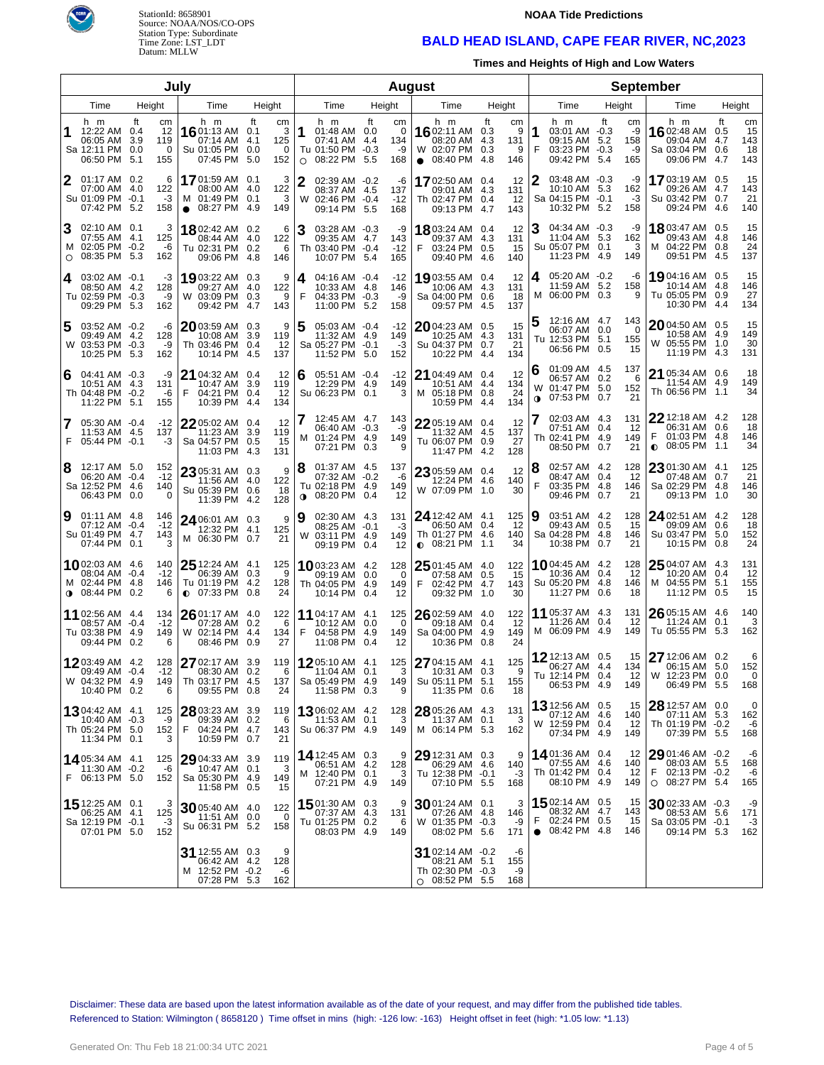



#### **NOAA Tide Predictions**

## **BALD HEAD ISLAND, CAPE FEAR RIVER, NC,2023**

**Times and Heights of High and Low Waters**

| July           |                                                                       |                         |                             |                                                                      |                           |                            |                | August                                                                |                  |                                    |         |                                                                               |                                |                            |                       |                                                                    |                    | September                    |                                                                                   |           |                              |
|----------------|-----------------------------------------------------------------------|-------------------------|-----------------------------|----------------------------------------------------------------------|---------------------------|----------------------------|----------------|-----------------------------------------------------------------------|------------------|------------------------------------|---------|-------------------------------------------------------------------------------|--------------------------------|----------------------------|-----------------------|--------------------------------------------------------------------|--------------------|------------------------------|-----------------------------------------------------------------------------------|-----------|------------------------------|
| Time<br>Height |                                                                       |                         | Time                        | Height                                                               |                           |                            | Time           |                                                                       | Height           |                                    | Time    |                                                                               | Height                         |                            | Time                  |                                                                    | Height             | Time                         |                                                                                   | Height    |                              |
| 1              | h m<br>12:22 AM 0.4<br>06:05 AM<br>Sa 12:11 PM<br>06:50 PM            | ft<br>3.9<br>0.0<br>5.1 | cm<br>12<br>119<br>0<br>155 | h m<br>16 01:13 AM 0.1<br>07:14 AM<br>Su 01:05 PM<br>07:45 PM        | ft<br>4.1<br>0.0<br>5.0   | cm<br>3<br>125<br>0<br>152 | 11<br>$\circ$  | h m<br>01:48 AM 0.0<br>07:41 AM<br>Tu 01:50 PM -0.3<br>08:22 PM       | ft<br>4.4<br>5.5 | cm<br>$\Omega$<br>134<br>-9<br>168 |         | h m<br>16 02:11 AM<br>08:20 AM<br>W 02:07 PM<br>$\bullet$ 08:40 PM            | ft<br>0.3<br>4.3<br>0.3<br>4.8 | cm<br>9<br>131<br>9<br>146 | 1<br>F                | h m<br>03:01 AM -0.3<br>09:15 AM<br>03:23 PM -0.3<br>09:42 PM 5.4  | ft<br>5.2          | сm<br>-9<br>158<br>-9<br>165 | h m<br>1602:48 AM 0.5<br>09:04 AM<br>Sa 03:04 PM 0.6<br>09:06 PM 4.7              | ft<br>4.7 | cm<br>15<br>143<br>18<br>143 |
| 2              | 01:17 AM 0.2<br>07:00 AM<br>Su 01:09 PM -0.1<br>07:42 PM 5.2          | 4.0                     | 6<br>122<br>$-3$<br>158     | 17 01:59 AM 0.1<br>08:00 AM<br>M 01:49 PM<br>08:27 PM<br>$\bullet$   | -4.0<br>0.1<br>-4.9       | 3<br>122<br>3<br>149       | 2              | 02:39 AM -0.2<br>08:37 AM 4.5<br>W 02:46 PM -0.4<br>09:14 PM          | 5.5              | -6<br>137<br>$-12$<br>168          |         | 1702:50 AM 0.4<br>09:01 AM 4.3<br>Th 02:47 PM 0.4<br>09:13 PM                 | 4.7                            | 12<br>131<br>12<br>143     | 2                     | 03:48 AM -0.3<br>10:10 AM<br>Sa 04:15 PM -0.1<br>10:32 PM 5.2      | 5.3                | -9<br>162<br>-3<br>158       | 1703:19 AM 0.5<br>09:26 AM 4.7<br>Su 03:42 PM 0.7<br>09:24 PM 4.6                 |           | 15<br>143<br>21<br>140       |
| $\circ$        | 02:10 AM 0.1<br>07:55 AM<br>M 02:05 PM -0.2<br>08:35 PM               | -4.1<br>5.3             | 3<br>125<br>-6<br>162       | 1802:42 AM 0.2<br>08:44 AM<br>Tu 02:31 PM<br>09:06 PM                | -4.0<br>0.2<br>4.8        | 6<br>122<br>6<br>146       | 3              | 03:28 AM -0.3<br>09:35 AM 4.7<br>Th 03:40 PM -0.4<br>10:07 PM         | -5.4             | -9<br>143<br>$-12$<br>165          | F       | 1803:24 AM<br>09:37 AM<br>03:24 PM 0.5<br>09:40 PM                            | 0.4<br>4.3<br>4.6              | 12<br>131<br>15<br>140     | З                     | 04:34 AM -0.3<br>11:04 AM<br>Su 05:07 PM 0.1<br>11:23 PM 4.9       | 5.3                | -9<br>162<br>3<br>149        | 18 03:47 AM 0.5<br>09:43 AM 4.8<br>M 04:22 PM 0.8<br>09:51 PM 4.5                 |           | 15<br>146<br>24<br>137       |
| 4              | $03:02$ AM $-0.1$<br>08:50 AM 4.2<br>Tu 02:59 PM -0.3<br>09:29 PM     | -5.3                    | -3<br>128<br>-9<br>162      | 1903:22 AM<br>09:27 AM<br>W 03:09 PM<br>09:42 PM                     | 0.3<br>-4.0<br>0.3<br>4.7 | 9<br>122<br>9<br>143       | 4<br>F         | $04:16$ AM $-0.4$<br>10:33 AM 4.8<br>04:33 PM -0.3<br>11:00 PM        | -5.2             | -12<br>146<br>-9<br>158            |         | 19 03:55 AM 0.4<br>10:06 AM<br>Sa 04:00 PM 0.6<br>09:57 PM                    | 4.3<br>-4.5                    | 12<br>131<br>18<br>137     | 4                     | 05:20 AM -0.2<br>11:59 AM<br>M 06:00 PM 0.3                        | 5.2                | -6<br>158<br>9               | 19 04:16 AM 0.5<br>10:14 AM 4.8<br>Tu 05:05 PM 0.9<br>10:30 PM 4.4                |           | 15<br>146<br>27<br>134       |
| 5              | 03:52 AM -0.2<br>09:49 AM 4.2<br>W 03:53 PM -0.3<br>10:25 PM          | - 5.3                   | -6<br>128<br>-9<br>162      | $20$ 03:59 AM<br>10:08 AM<br>Th 03:46 PM<br>10:14 PM                 | 0.3<br>3.9<br>0.4<br>4.5  | 9<br>119<br>12<br>137      | 5              | $05:03$ AM $-0.4$<br>11:32 AM 4.9<br>Sa 05:27 PM -0.1<br>11:52 PM 5.0 |                  | -12<br>149<br>$-3$<br>152          |         | 2004:23 AM 0.5<br>10:25 AM 4.3<br>Su 04:37 PM 0.7<br>10:22 PM 4.4             |                                | 15<br>131<br>21<br>134     |                       | 12:16 AM 4.7<br>06:07 AM<br>Tu 12:53 PM 5.1<br>06:56 PM            | 0.0<br>0.5         | 143<br>0<br>155<br>15        | 2004:50 AM 0.5<br>10:58 AM 4.9<br>W 05:55 PM 1.0<br>11:19 PM 4.3                  |           | 15<br>149<br>30<br>131       |
| 6              | $04:41$ AM $-0.3$<br>10:51 AM 4.3<br>Th 04:48 PM -0.2<br>11:22 PM     | 5.1                     | -9<br>131<br>-6<br>155      | 21 04:32 AM 0.4<br>10:47 AM<br>F<br>04:21 PM<br>10:39 PM             | 3.9<br>0.4<br>-4.4        | 12<br>119<br>12<br>134     | 6              | 05:51 AM -0.4<br>12:29 PM 4.9<br>Su 06:23 PM 0.1                      |                  | $-12$<br>149<br>3                  |         | 21 04:49 AM 0.4<br>10:51 AM 4.4<br>M 05:18 PM 0.8<br>10:59 PM                 | 4.4                            | 12<br>134<br>24<br>134     | 6<br>W<br>$\mathbf 0$ | 01:09 AM 4.5<br>06:57 AM<br>01:47 PM<br>07:53 PM                   | 0.2<br>5.0<br>0.7  | 137<br>6<br>152<br>21        | 21 05:34 AM 0.6<br>11:54 AM 4.9<br>Th 06:56 PM 1.1                                |           | 18<br>149<br>34              |
|                | 05:30 AM -0.4<br>11:53 AM 4.5<br>F 05:44 PM -0.1                      |                         | $-12$<br>137<br>-3          | $22$ 05:02 AM 0.4<br>11:23 AM<br>Sa 04:57 PM<br>11:03 PM             | 3.9<br>0.5<br>-4.3        | 12<br>119<br>15<br>131     | M              | 12:45 AM 4.7<br>06:40 AM -0.3<br>01:24 PM 4.9<br>07:21 PM             | 0.3              | 143<br>-9<br>149<br>9              |         | 22 05:19 AM 0.4<br>11:32 AM<br>Tu 06:07 PM 0.9<br>11:47 PM 4.2                | 4.5                            | 12<br>137<br>27<br>128     |                       | 02:03 AM 4.3<br>07:51 AM 0.4<br>Th 02:41 PM 4.9<br>08:50 PM        | 0.7                | 131<br>12<br>149<br>21       | 22 12:18 AM 4.2<br>06:31 AM 0.6<br>F<br>01:03 PM 4.8<br>08:05 PM 1.1<br>$\bullet$ |           | 128<br>18<br>146<br>34       |
| 8              | 12:17 AM 5.0<br>06:20 AM -0.4<br>Sa 12:52 PM<br>06:43 PM              | -4.6<br>0.0             | 152<br>$-12$<br>140<br>0    | 23 05:31 AM 0.3<br>11:56 AM 4.0<br>Su 05:39 PM<br>11:39 PM           | 0.6<br>-4.2               | 9<br>122<br>18<br>128      | 8<br>$\bullet$ | 01:37 AM 4.5<br>07:32 AM -0.2<br>Tu 02:18 PM 4.9<br>08:20 PM          | 0.4              | 137<br>-6<br>149<br>12             |         | 23 05:59 AM 0.4<br>12:24 PM 4.6<br>W 07:09 PM 1.0                             |                                | 12<br>140<br>30            | 8<br>F                | 02:57 AM 4.2<br>08:47 AM<br>03:35 PM<br>09:46 PM                   | 0.4<br>-4.8<br>0.7 | 128<br>12<br>146<br>21       | 23 01:30 AM 4.1<br>07:48 AM 0.7<br>Sa 02:29 PM 4.8<br>09:13 PM 1.0                |           | 125<br>21<br>146<br>30       |
| 9              | $01:11$ AM 4.8<br>07:12 AM -0.4<br>Su 01:49 PM<br>07:44 PM            | -4.7<br>0.1             | 146<br>$-12$<br>143<br>3    | 24 06:01 AM 0.3<br>12:32 PM 4.1<br>M 06:30 PM 0.7                    |                           | 9<br>125<br>21             | ∣9             | 02:30 AM 4.3<br>08:25 AM -0.1<br>W 03:11 PM 4.9<br>09:19 PM 0.4       |                  | 131<br>-3<br>149<br>12             |         | $24$ 12:42 AM $-4.1$<br>06:50 AM 0.4<br>Th 01:27 PM 4.6<br>$\bullet$ 08:21 PM | 1.1                            | 125<br>12<br>140<br>34     | 9                     | 03:51 AM 4.2<br>09:43 AM<br>Sa 04:28 PM<br>10:38 PM                | 0.5<br>-4.8<br>0.7 | 128<br>15<br>146<br>21       | 24 02:51 AM 4.2<br>09:09 AM 0.6<br>Su 03:47 PM 5.0<br>10:15 PM 0.8                |           | 128<br>18<br>152<br>24       |
|                | 1002:03 AM 4.6<br>08:04 AM -0.4<br>M 02:44 PM<br>$0.08:44 \text{ PM}$ | -4.8<br>0.2             | 140<br>$-12$<br>146<br>6    | 25 12:24 AM 4.1<br>06:39 AM 0.3<br>Tu 01:19 PM<br>$\bullet$ 07:33 PM | 4.2<br>0.8                | 125<br>9<br>128<br>24      |                | <b>10</b> 03:23 AM 4.2<br>09:19 AM 0.0<br>Th 04:05 PM<br>10:14 PM 0.4 | -4.9             | 128<br>$\Omega$<br>149<br>12       | F       | 25 01:45 AM 4.0<br>07:58 AM 0.5<br>02:42 PM 4.7<br>09:32 PM 1.0               |                                | 122<br>15<br>143<br>30     |                       | 1004:45 AM 4.2<br>10:36 AM<br>Su 05:20 PM<br>11:27 PM              | 0.4<br>-4.8<br>0.6 | 128<br>12<br>146<br>18       | 25 04:07 AM 4.3<br>10:20 AM 0.4<br>04:55 PM 5.1<br>M<br>11:12 PM 0.5              |           | 131<br>12<br>155<br>15       |
|                | 11 02:56 AM 4.4<br>08:57 AM -0.4<br>Tu 03:38 PM<br>09:44 PM 0.2       | -4.9                    | 134<br>$-12$<br>149<br>6    | 26 01:17 AM 4.0<br>07:28 AM<br>W 02:14 PM<br>08:46 PM 0.9            | 0.2<br>4.4                | 122<br>6<br>134<br>27      | F              | 11 04:17 AM 4.1<br>10:12 AM 0.0<br>04:58 PM<br>11:08 PM 0.4           | -4.9             | 125<br>$\Omega$<br>149<br>12       |         | 26 02:59 AM 4.0<br>09:18 AM 0.4<br>Sa 04:00 PM 4.9<br>10:36 PM 0.8            |                                | 122<br>12<br>149<br>24     | 11                    | 05:37 AM 4.3<br>11:26 AM<br>M 06:09 PM                             | 0.4<br>4.9         | 131<br>12<br>149             | 26 05:15 AM 4.6<br>11:24 AM 0.1<br>Tu 05:55 PM 5.3                                |           | 140<br>3<br>162              |
|                | 12 03:49 AM 4.2<br>09:49 AM<br>W 04:32 PM 4.9<br>10:40 PM 0.2         | $-0.4$                  | 128<br>$-12$<br>149<br>6    | 27 02:17 AM<br>08:30 AM 0.2<br>Th 03:17 PM 4.5<br>09:55 PM 0.8       | 3.9                       | 119<br>6<br>137<br>24      |                | 1205:10 AM 4.1<br>11:04 AM 0.1<br>Sa 05:49 PM 4.9<br>11:58 PM 0.3     |                  | 125<br>3<br>149<br>9               |         | 27 04:15 AM 4.1<br>10:31 AM 0.3<br>Su 05:11 PM 5.1<br>11:35 PM 0.6            |                                | 125<br>9<br>155<br>18      |                       | 12 12:13 AM 0.5<br>06:27 AM 4.4<br>Tu 12:14 PM 0.4<br>06:53 PM 4.9 |                    | 15<br>134<br>12<br>149       | 27 12:06 AM 0.2<br>06:15 AM 5.0<br>W 12:23 PM 0.0<br>06:49 PM 5.5                 |           | 6<br>152<br>0<br>168         |
|                | 1304:42 AM 4.1<br>10:40 AM -0.3<br>Th 05:24 PM 5.0<br>11:34 PM 0.1    |                         | 125<br>-9<br>152<br>3       | 28 03:23 AM 3.9<br>09:39 AM 0.2<br>F<br>04:24 PM 4.7<br>10:59 PM 0.7 |                           | 119<br>6<br>143<br>21      |                | 1306:02 AM 4.2<br>11:53 AM 0.1<br>Su 06:37 PM 4.9                     |                  | 128<br>3<br>149                    |         | 28 05:26 AM 4.3<br>11:37 AM 0.1<br>M 06:14 PM 5.3                             |                                | 131<br>3<br>162            |                       | 13 12:56 AM 0.5<br>07:12 AM 4.6<br>W 12:59 PM 0.4<br>07:34 PM 4.9  |                    | 15<br>140<br>12<br>149       | 28 12:57 AM 0.0<br>07:11 AM 5.3<br>Th 01:19 PM -0.2<br>07:39 PM 5.5               |           | 0<br>162<br>-6<br>168        |
|                | 1405:34 AM 4.1<br>11:30 AM -0.2<br>F 06:13 PM 5.0                     |                         | 125<br>-6<br>152            | 29 04:33 AM 3.9<br>10:47 AM 0.1<br>Sa 05:30 PM 4.9<br>11:58 PM 0.5   |                           | 119<br>3<br>149<br>15      |                | 14 12:45 AM 0.3<br>06:51 AM 4.2<br>M 12:40 PM 0.1<br>07:21 PM 4.9     |                  | 9<br>128<br>3<br>149               |         | $2912:31$ AM 0.3<br>06:29 AM 4.6<br>Tu 12:38 PM -0.1<br>07:10 PM 5.5          |                                | 9<br>140<br>$-3$<br>168    |                       | 1401:36 AM 0.4<br>07:55 AM 4.6<br>Th 01:42 PM 0.4<br>08:10 PM 4.9  |                    | 12<br>140<br>12<br>149       | $2901:46$ AM $-0.2$<br>08:03 AM 5.5<br>F.<br>02:13 PM -0.2<br>$O$ 08:27 PM 5.4    |           | -6<br>168<br>-6<br>165       |
|                | 15 12:25 AM 0.1<br>06:25 AM 4.1<br>Sa 12:19 PM -0.1<br>07:01 PM 5.0   |                         | 125<br>$-3$<br>152          | 30 05:40 AM 4.0<br>11:51 AM 0.0<br>Su 06:31 PM 5.2                   |                           | 122<br>$\mathbf 0$<br>158  |                | 1501:30 AM 0.3<br>07:37 AM 4.3<br>Tu 01:25 PM 0.2<br>08:03 PM 4.9     |                  | 9<br>131<br>6<br>149               |         | 3001:24 AM 0.1<br>07:26 AM 4.8<br>W 01:35 PM -0.3<br>08:02 PM 5.6             |                                | 3<br>146<br>-9<br>171      | F<br>$\bullet$        | 1502:14 AM 0.5<br>08:32 AM 4.7<br>02:24 PM 0.5<br>08:42 PM 4.8     |                    | 15<br>143<br>15<br>146       | 30 02:33 AM -0.3<br>08:53 AM 5.6<br>Sa 03:05 PM -0.1<br>09:14 PM 5.3              |           | -9<br>171<br>-3<br>162       |
|                |                                                                       |                         |                             | 31 12:55 AM 0.3<br>06:42 AM 4.2<br>M 12:52 PM -0.2<br>07:28 PM 5.3   |                           | 9<br>128<br>-6<br>162      |                |                                                                       |                  |                                    | $\circ$ | 31 02:14 AM -0.2<br>08:21 AM 5.1<br>Th 02:30 PM -0.3<br>08:52 PM 5.5          |                                | -6<br>155<br>-9<br>168     |                       |                                                                    |                    |                              |                                                                                   |           |                              |